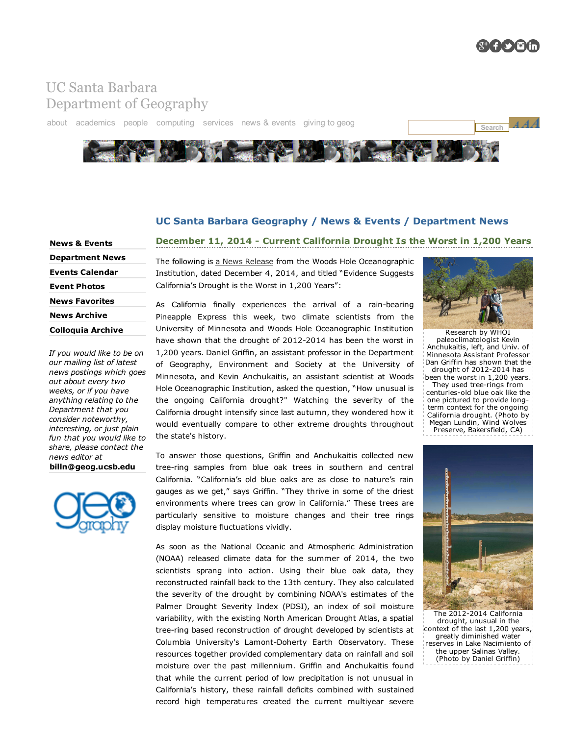

## UC Santa Barbara [Department](http://www.geog.ucsb.edu/) of Geography

[about](http://www.geog.ucsb.edu/about/) [academi](http://www.geog.ucsb.edu/events/events-calendar/)[cs](http://www.geog.ucsb.edu/giving/opportunities/) [people](http://www.geog.ucsb.edu/people/) [computing](http://www.geog.ucsb.edu/computing/) [services](http://www.geog.ucsb.edu/services/) news & [events](http://www.geog.ucsb.edu/events/) [giving](http://www.geog.ucsb.edu/giving/) to geog

the state's history.



## UC Santa Barbara Geography / News & Events / Department News

December 11, 2014 - Current California Drought Is the Worst in 1,200 Years

News & [Events](http://www.geog.ucsb.edu/events/) [Department](http://www.geog.ucsb.edu/events/department-news/) News Events [Calendar](http://www.geog.ucsb.edu/events/events-calendar/) Event [Photos](http://www.geog.ucsb.edu/events/event-photos/) News [Favorites](http://www.geog.ucsb.edu/events/news-favorites/) News [Archive](http://www.geog.ucsb.edu/events/news-archive/) [Colloquia](http://www.geog.ucsb.edu/events/colloquia-archive/) Archive

*If you would like to be on our mailing list of latest news postings which goes out about every two weeks, or if you have anything relating to the Department that you consider noteworthy, interesting, or just plain fun that you would like to share, please contact the news editor at*

[billn@geog.ucsb.edu](mailto:billn@geog.ucsb.edu)



The following is a News [Release](http://www.whoi.edu/news-release/California-drought) from the Woods Hole Oceanographic Institution, dated December 4, 2014, and titled "Evidence Suggests California's Drought is the Worst in 1,200 Years":

## As California finally experiences the arrival of a rain-bearing Pineapple Express this week, two climate scientists from the University of Minnesota and Woods Hole Oceanographic Institution have shown that the drought of 2012-2014 has been the worst in 1,200 years. Daniel Griffin, an assistant professor in the Department of Geography, Environment and Society at the University of Minnesota, and Kevin Anchukaitis, an assistant scientist at Woods Hole Oceanographic Institution, asked the question, "How unusual is the ongoing California drought?" Watching the severity of the California drought intensify since last autumn, they wondered how it would eventually compare to other extreme droughts throughout

To answer those questions, Griffin and Anchukaitis collected new tree-ring samples from blue oak trees in southern and central California. "California's old blue oaks are as close to nature's rain gauges as we get," says Griffin. "They thrive in some of the driest environments where trees can grow in California." These trees are particularly sensitive to moisture changes and their tree rings display moisture fluctuations vividly.

As soon as the National Oceanic and Atmospheric Administration (NOAA) released climate data for the summer of 2014, the two scientists sprang into action. Using their blue oak data, they reconstructed rainfall back to the 13th century. They also calculated the severity of the drought by combining NOAA's estimates of the Palmer Drought Severity Index (PDSI), an index of soil moisture variability, with the existing North American Drought Atlas, a spatial tree-ring based reconstruction of drought developed by scientists at Columbia University's Lamont-Doherty Earth Observatory. These resources together provided complementary data on rainfall and soil moisture over the past millennium. Griffin and Anchukaitis found that while the current period of low precipitation is not unusual in California's history, these rainfall deficits combined with sustained record high temperatures created the current multiyear severe



[Research](http://www.geog.ucsb.edu/img/news/2014/california-drought-worst-in-1200-years-2.jpg) by WHOI paleoclimatologist Kevin Anchukaitis, left, and Univ. of Minnesota Assistant Professor Dan Griffin has shown that the drought of  $2012-2014$  has been the worst in 1,200 years.

They used tree-rings from centuries-old blue oak like the one pictured to provide longterm context for the ongoing California drought. (Photo by Megan Lundin, Wind Wolves Preserve, Bakersfield, CA)



The 2012-2014 California drought, unusual in the context of the last 1,200 years, greatly diminished water reserves in Lake Nacimiento of the upper Salinas Valley. (Photo by Daniel Griffin)